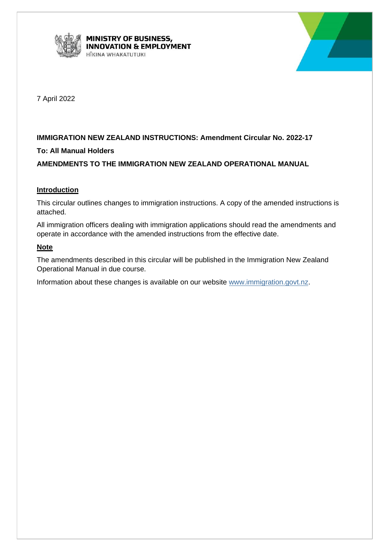



7 April 2022

# **IMMIGRATION NEW ZEALAND INSTRUCTIONS: Amendment Circular No. 2022-17**

# **To: All Manual Holders**

# **AMENDMENTS TO THE IMMIGRATION NEW ZEALAND OPERATIONAL MANUAL**

# **Introduction**

This circular outlines changes to immigration instructions. A copy of the amended instructions is attached.

All immigration officers dealing with immigration applications should read the amendments and operate in accordance with the amended instructions from the effective date.

# **Note**

The amendments described in this circular will be published in the Immigration New Zealand Operational Manual in due course.

Information about these changes is available on our website [www.immigration.govt.nz.](http://www.immigration.govt.nz/)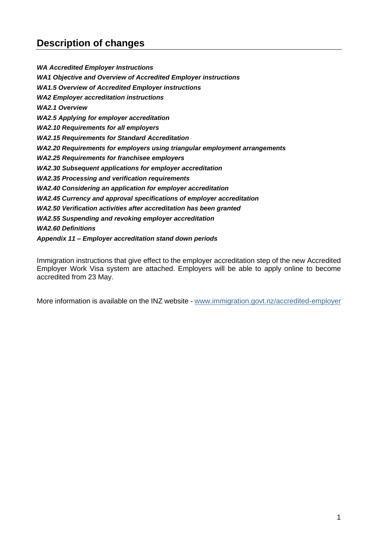# **Description of changes**

*WA Accredited Employer Instructions WA1 Objective and Overview of Accredited Employer instructions WA1.5 Overview of Accredited Employer instructions WA2 Employer accreditation instructions WA2.1 Overview WA2.5 Applying for employer accreditation WA2.10 Requirements for all employers WA2.15 Requirements for Standard Accreditation WA2.20 Requirements for employers using triangular employment arrangements WA2.25 Requirements for franchisee employers WA2.30 Subsequent applications for employer accreditation WA2.35 Processing and verification requirements WA2.40 Considering an application for employer accreditation WA2.45 Currency and approval specifications of employer accreditation WA2.50 Verification activities after accreditation has been granted WA2.55 Suspending and revoking employer accreditation WA2.60 Definitions Appendix 11 – Employer accreditation stand down periods*

Immigration instructions that give effect to the employer accreditation step of the new Accredited Employer Work Visa system are attached. Employers will be able to apply online to become accredited from 23 May.

More information is available on the INZ website - [www.immigration.govt.nz/accredited-employer](http://www.immigration.govt.nz/accredited-employer)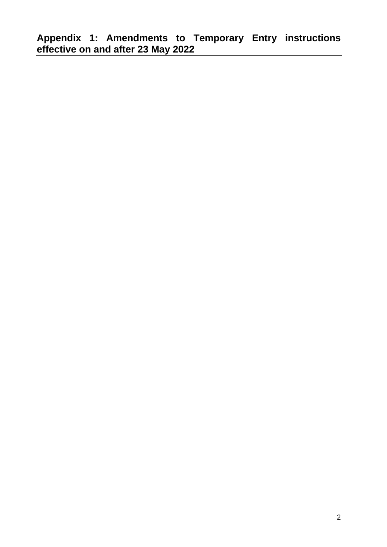**Appendix 1: Amendments to Temporary Entry instructions effective on and after 23 May 2022**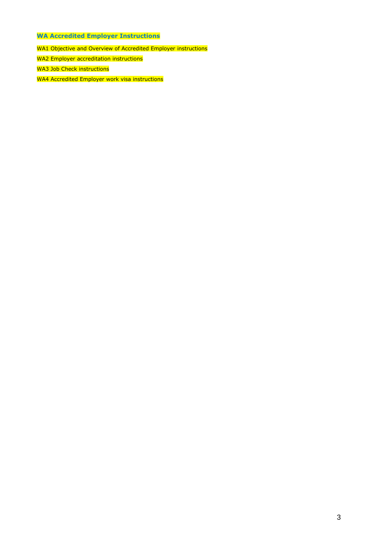- **WA Accredited Employer Instructions**
- WA1 Objective and Overview of Accredited Employer instructions
- WA2 Employer accreditation instructions
- WA3 Job Check instructions
- WA4 Accredited Employer work visa instructions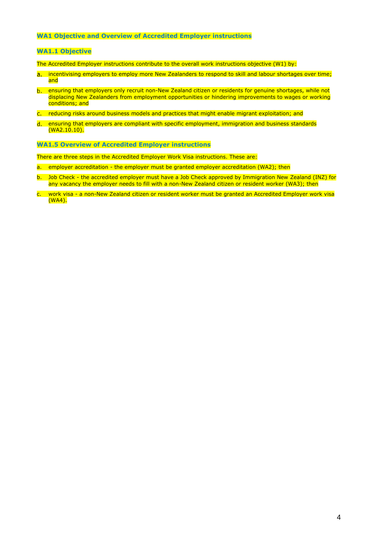# **WA1 Objective and Overview of Accredited Employer instructions**

### **WA1.1 Objective**

The Accredited Employer instructions contribute to the overall work instructions objective (W1) by:

- a. incentivising employers to employ more New Zealanders to respond to skill and labour shortages over time; and
- ensuring that employers only recruit non-New Zealand citizen or residents for genuine shortages, while not displacing New Zealanders from employment opportunities or hindering improvements to wages or working conditions; and
- reducing risks around business models and practices that might enable migrant exploitation; and
- d. ensuring that employers are compliant with specific employment, immigration and business standards  $(WA2.10.10).$

**WA1.5 Overview of Accredited Employer instructions**

There are three steps in the Accredited Employer Work Visa instructions. These are:

- a. employer accreditation the employer must be granted employer accreditation (WA2); then
- b. Job Check the accredited employer must have a Job Check approved by Immigration New Zealand (INZ) for any vacancy the employer needs to fill with a non-New Zealand citizen or resident worker (WA3); then
- c. work visa a non-New Zealand citizen or resident worker must be granted an Accredited Employer work visa (WA4).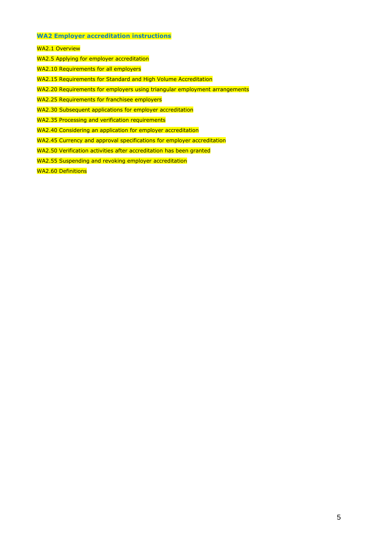# **WA2 Employer accreditation instructions**

WA2.1 Overview

- WA2.5 Applying for employer accreditation
- WA2.10 Requirements for all employers
- WA2.15 Requirements for Standard and High Volume Accreditation
- WA2.20 Requirements for employers using triangular employment arrangements
- WA2.25 Requirements for franchisee employers
- WA2.30 Subsequent applications for employer accreditation
- WA2.35 Processing and verification requirements
- WA2.40 Considering an application for employer accreditation
- WA2.45 Currency and approval specifications for employer accreditation
- WA2.50 Verification activities after accreditation has been granted
- WA2.55 Suspending and revoking employer accreditation

WA2.60 Definitions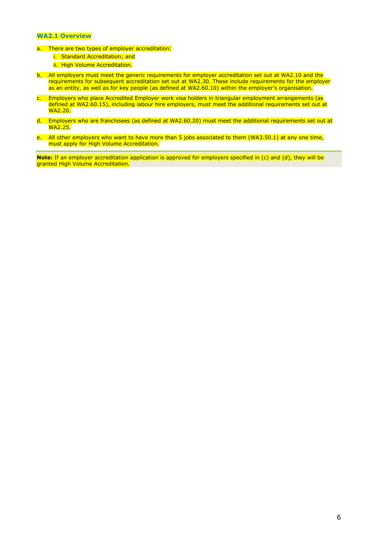# **WA2.1 Overview**

- a. There are two types of employer accreditation:
	- i. Standard Accreditation; and
	- ii. High Volume Accreditation.
- b. All employers must meet the generic requirements for employer accreditation set out at WA2.10 and the requirements for subsequent accreditation set out at WA2.30. These include requirements for the employer as an entity, as well as for key people (as defined at WA2.60.10) within the employer's organisation.
- c. Employers who place Accredited Employer work visa holders in triangular employment arrangements (as defined at WA2.60.15), including labour hire employers, must meet the additional requirements set out at WA2.20.
- d. Employers who are franchisees (as defined at WA2.60.20) must meet the additional requirements set out at WA2.25.
- e. All other employers who want to have more than 5 jobs associated to them (WA3.50.1) at any one time, must apply for High Volume Accreditation.

**Note:** If an employer accreditation application is approved for employers specified in (c) and (d), they will be granted High Volume Accreditation.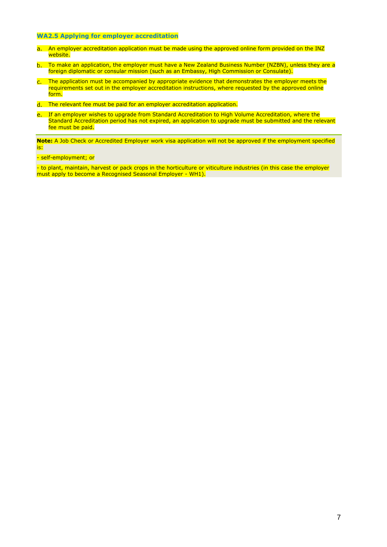# **WA2.5 Applying for employer accreditation**

- a. An employer accreditation application must be made using the approved online form provided on the INZ website.
- To make an application, the employer must have a New Zealand Business Number (NZBN), unless they are a foreign diplomatic or consular mission (such as an Embassy, High Commission or Consulate).
- c. The application must be accompanied by appropriate evidence that demonstrates the employer meets the requirements set out in the employer accreditation instructions, where requested by the approved online form.
- The relevant fee must be paid for an employer accreditation application.
- e. If an employer wishes to upgrade from Standard Accreditation to High Volume Accreditation, where the Standard Accreditation period has not expired, an application to upgrade must be submitted and the relevant **Francisco** Con

**Note:** A Job Check or Accredited Employer work visa application will not be approved if the employment specified is:

# - self-employment; or

- to plant, maintain, harvest or pack crops in the horticulture or viticulture industries (in this case the employer must apply to become a Recognised Seasonal Employer - WH1).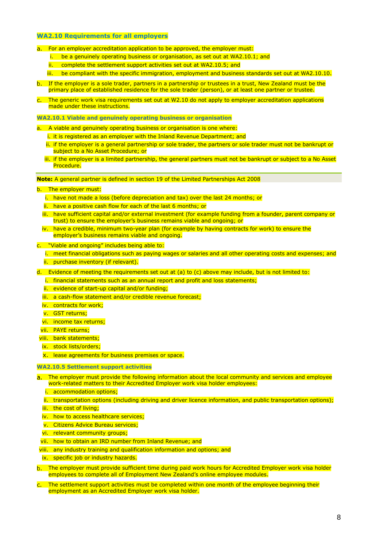### **WA2.10 Requirements for all employers**

- a. For an employer accreditation application to be approved, the employer must:
	- i. be a genuinely operating business or organisation, as set out at WA2.10.1; and
	- ii. complete the settlement support activities set out at WA2.10.5; and
	- iii. be compliant with the specific immigration, employment and business standards set out at WA2.10.10.
- b. If the employer is a sole trader, partners in a partnership or trustees in a trust, New Zealand must be the primary place of established residence for the sole trader (person), or at least one partner or trustee.
- The generic work visa requirements set out at [W2.10](https://www.immigration.govt.nz/opsmanual/#34388.htm) do not apply to employer accreditation applications made under these instructions.

**WA2.10.1 Viable and genuinely operating business or organisation** 

- a. A viable and genuinely operating business or organisation is one where:
	- i. it is registered as an employer with the Inland Revenue Department; and
	- ii. if the employer is a general partnership or sole trader, the partners or sole trader must not be bankrupt or subject to a No Asset Procedure; or
	- iii. if the employer is a limited partnership, the general partners must not be bankrupt or subject to a No Asset Procedure.

**Note:** A general partner is defined in section 19 of the Limited Partnerships Act 2008

- b. The employer must:
	- i. have not made a loss (before depreciation and tax) over the last 24 months; or
	- ii. have a positive cash flow for each of the last 6 months; or
	- iii. have sufficient capital and/or external investment (for example funding from a founder, parent company or trust) to ensure the employer's business remains viable and ongoing; or
	- iv. have a credible, minimum two-year plan (for example by having contracts for work) to ensure the employer's business remains viable and ongoing.
- c. "Viable and ongoing" includes being able to:
	- i. meet financial obligations such as paying wages or salaries and all other operating costs and expenses; and ii. purchase inventory (if relevant).
- d. Evidence of meeting the requirements set out at (a) to (c) above may include, but is not limited to:
	- i. financial statements such as an annual report and profit and loss statements;
	- ii. evidence of start-up capital and/or funding;
	- iii. a cash-flow statement and/or credible revenue forecast;
	- iv. contracts for work;
	- v. GST returns;
	- vi. income tax returns;
	- vii. PAYE returns;
- viii. bank statements;
- ix. stock lists/orders;
- x. lease agreements for business premises or space.

#### **WA2.10.5 Settlement support activities**

- a. The employer must provide the following information about the local community and services and employee work-related matters to their Accredited Employer work visa holder employees:
	- i. accommodation options;
	- ii. transportation options (including driving and driver licence information, and public transportation options);
	- iii. the cost of living;
	- iv. how to access healthcare services;
	- v. Citizens Advice Bureau services;
	- vi. relevant community groups;
- vii. how to obtain an IRD number from Inland Revenue; and
- viii. any industry training and qualification information and options; and
- ix. specific job or industry hazards.
- The employer must provide sufficient time during paid work hours for Accredited Employer work visa holder employees to complete all of Employment New Zealand's online employee modules.
- The settlement support activities must be completed within one month of the employee beginning their employment as an Accredited Employer work visa holder.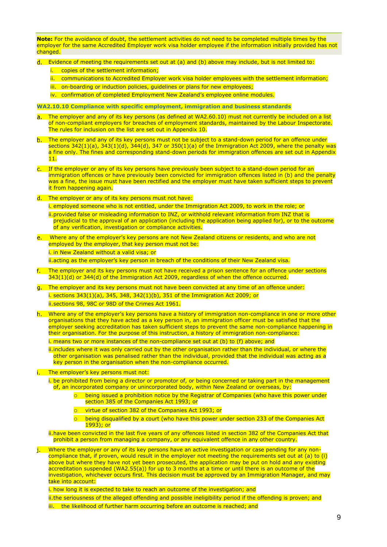**Note:** For the avoidance of doubt, the settlement activities do not need to be completed multiple times by the employer for the same Accredited Employer work visa holder employee if the information initially provided has not changed.

- Evidence of meeting the requirements set out at (a) and (b) above may include, but is not limited to:
	- i. copies of the settlement information:
	- ii. communications to Accredited Employer work visa holder employees with the settlement information;
	- iii. on-boarding or induction policies, quidelines or plans for new employees;
	- iv. confirmation of completed Employment New Zealand's employee online modules.

**WA2.10.10 Compliance with specific employment, immigration and business standards** 

- The employer and any of its key persons (as defined at WA2.60.10) must not currently be included on a list  $a.$ of non-compliant employers for breaches of employment standards, maintained by the Labour Inspectorate. The rules for inclusion on the list are set out in Appendix 10.
- b. The employer and any of its key persons must not be subject to a stand-down period for an offence under sections  $342(1)(a)$ ,  $343(1)(d)$ ,  $344(d)$ ,  $347$  or  $350(1)(a)$  of the Immigration Act 2009, where the penalty was a fine only. The fines and corresponding stand-down periods for immigration offences are set out in Appendix 11.
- c. If the employer or any of its key persons have previously been subject to a stand-down period for an immigration offences or have previously been convicted for immigration offences listed in (b) and the penalty was a fine, the issue must have been rectified and the employer must have taken sufficient steps to prevent it from happening again.
- d. The employer or any of its key persons must not have:

i. employed someone who is not entitled, under the Immigration Act 2009, to work in the role; or ii.provided false or misleading information to INZ, or withhold relevant information from INZ that is prejudicial to the approval of an application (including the application being applied for), or to the outcome of any verification, investigation or compliance activities.

Where any of the employer's key persons are not New Zealand citizens or residents, and who are not employed by the employer, that key person must not be:

i. in New Zealand without a valid visa; or

ii.acting as the employer's key person in breach of the conditions of their New Zealand visa.

- The employer and its key persons must not have received a prison sentence for an offence under sections 343(1)(d) or 344(d) of the Immigration Act 2009, regardless of when the offence occurred.
- The employer and its key persons must not have been convicted at any time of an offence under: i. sections 343(1)(a), 345, 348, 342(1)(b), 351 of the Immigration Act 2009; or ii.sections 98, 98C or 98D of the Crimes Act 1961.
- h. Where any of the employer's key persons have a history of immigration non-compliance in one or more other organisations that they have acted as a key person in, an immigration officer must be satisfied that the employer seeking accreditation has taken sufficient steps to prevent the same non-compliance happening in their organisation. For the purpose of this instruction, a history of immigration non-compliance:

i. means two or more instances of the non-compliance set out at (b) to (f) above; and

ii.includes where it was only carried out by the other organisation rather than the individual, or where the other organisation was penalised rather than the individual, provided that the individual was acting as a key person in the organisation when the non-compliance occurred.

- i. The employer's key persons must not:
	- i. be prohibited from being a director or promotor of, or being concerned or taking part in the management of, an incorporated company or unincorporated body, within New Zealand or overseas, by:
		- $\circ$  being issued a prohibition notice by the Registrar of Companies (who have this power under section 385 of the Companies Act 1993; or
		- virtue of section 382 of the Companies Act 1993; or
		- o being disqualified by a court (who have this power under section 233 of the Companies Act 1993); or
	- ii.have been convicted in the last five years of any offences listed in section 382 of the Companies Act that prohibit a person from managing a company, or any equivalent offence in any other country.
- Where the employer or any of its key persons have an active investigation or case pending for any noni. compliance that, if proven, would result in the employer not meeting the requirements set out at (a) to (i) above but where they have not yet been prosecuted, the application may be put on hold and any existing accreditation suspended (WA2.55(a)) for up to 3 months at a time or until there is an outcome of the investigation, whichever occurs first. This decision must be approved by an Immigration Manager, and may take into account:

i. how long it is expected to take to reach an outcome of the investigation; and

ii.the seriousness of the alleged offending and possible ineligibility period if the offending is proven; and iii. the likelihood of further harm occurring before an outcome is reached; and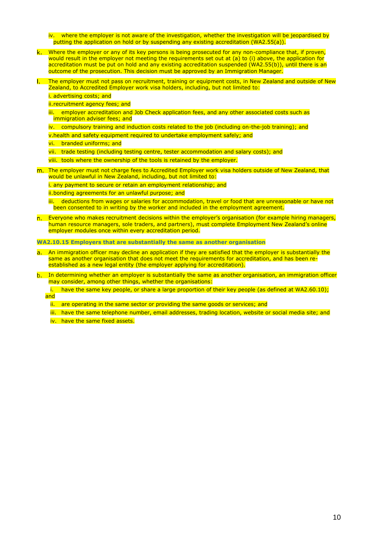- iv. where the employer is not aware of the investigation, whether the investigation will be jeopardised by putting the application on hold or by suspending any existing accreditation (WA2.55(a)).
- k. Where the employer or any of its key persons is being prosecuted for any non-compliance that, if proven, would result in the employer not meeting the requirements set out at (a) to (i) above, the application for accreditation must be put on hold and any existing accreditation suspended (WA2.55(b)), until there is an outcome of the prosecution. This decision must be approved by an Immigration Manager.
- The employer must not pass on recruitment, training or equipment costs, in New Zealand and outside of New  $\mathbf{L}$ Zealand, to Accredited Employer work visa holders, including, but not limited to:

### i. advertising costs; and

ii.recruitment agency fees; and

- iii. employer accreditation and Job Check application fees, and any other associated costs such as immigration adviser fees; and
- iv. compulsory training and induction costs related to the job (including on-the-job training); and
- v.health and safety equipment required to undertake employment safely; and
- vi. branded uniforms; and
- vii. trade testing (including testing centre, tester accommodation and salary costs); and
- viii. tools where the ownership of the tools is retained by the employer.
- m. The employer must not charge fees to Accredited Employer work visa holders outside of New Zealand, that would be unlawful in New Zealand, including, but not limited to:
	- i. any payment to secure or retain an employment relationship; and
	- ii.bonding agreements for an unlawful purpose; and
	- iii. deductions from wages or salaries for accommodation, travel or food that are unreasonable or have not been consented to in writing by the worker and included in the employment agreement.
- n. Everyone who makes recruitment decisions within the employer's organisation (for example hiring managers, human resource managers, sole traders, and partners), must complete Employment New Zealand's online employer modules once within every accreditation period.

**WA2.10.15 Employers that are substantially the same as another organisation**

- a. An immigration officer may decline an application if they are satisfied that the employer is substantially the same as another organisation that does not meet the requirements for accreditation, and has been reestablished as a new legal entity (the employer applying for accreditation).
- b. In determining whether an employer is substantially the same as another organisation, an immigration officer may consider, among other things, whether the organisations:
	- i. have the same key people, or share a large proportion of their key people (as defined at WA2.60.10); and

ii. are operating in the same sector or providing the same goods or services; and

iii. have the same telephone number, email addresses, trading location, website or social media site; and iv. have the same fixed assets.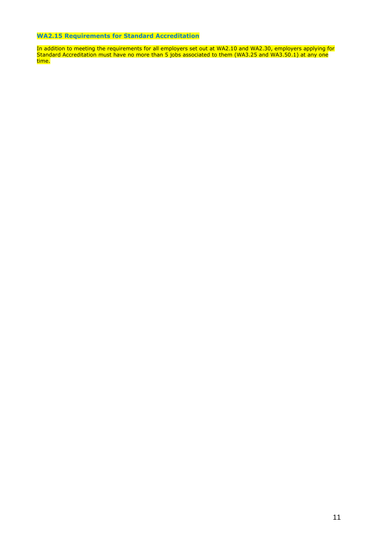# **WA2.15 Requirements for Standard Accreditation**

In addition to meeting the requirements for all employers set out at WA2.10 and WA2.30, employers applying for Standard Accreditation must have no more than 5 jobs associated to them (WA3.25 and WA3.50.1) at any one time.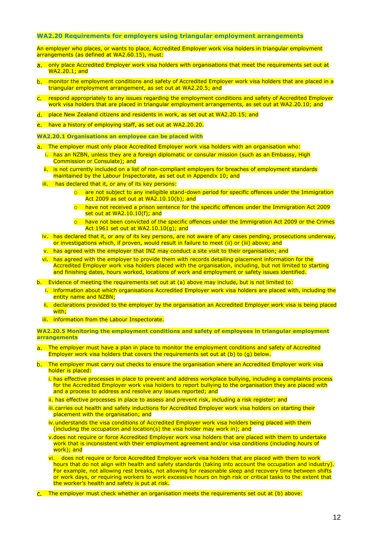### **WA2.20 Requirements for employers using triangular employment arrangements**

An employer who places, or wants to place, Accredited Employer work visa holders in triangular employment arrangements (as defined at WA2.60.15), must:

- a. only place Accredited Employer work visa holders with organisations that meet the requirements set out at  $W_A$ 2.20.1; and
- b. monitor the employment conditions and safety of Accredited Employer work visa holders that are placed in a triangular employment arrangement, as set out at WA2.20.5; and
- respond appropriately to any issues regarding the employment conditions and safety of Accredited Employer work visa holders that are placed in triangular employment arrangements, as set out at WA2.20.10; and
- place New Zealand citizens and residents in work, as set out at WA2.20.15; and
- e. have a history of employing staff, as set out at WA2.20.20.
- **WA2.20.1 Organisations an employee can be placed with**

The employer must only place Accredited Employer work visa holders with an organisation who:

- i. has an NZBN, unless they are a foreign diplomatic or consular mission (such as an Embassy, High Commission or Consulate); and
- ii. is not currently included on a list of non-compliant employers for breaches of employment standards maintained by the Labour Inspectorate, as set out in Appendix 10; and
- iii. has declared that it, or any of its key persons:
	- o are not subject to any ineligible stand-down period for specific offences under the Immigration Act 2009 as set out at WA2.10.10(b); and
	- $\circ$  have not received a prison sentence for the specific offences under the Immigration Act 2009 set out at WA2.10.10(f); and
	- o have not been convicted of the specific offences under the Immigration Act 2009 or the Crimes Act 1961 set out at WA2.10.10(g); and
- iv. has declared that it, or any of its key persons, are not aware of any cases pending, prosecutions underway, or investigations which, if proven, would result in failure to meet (ii) or (iii) above; and
- v. has agreed with the employer that INZ may conduct a site visit to their organisation; and
- vi. has agreed with the employer to provide them with records detailing placement information for the Accredited Employer work visa holders placed with the organisation, including, but not limited to starting and finishing dates, hours worked, locations of work and employment or safety issues identified.
- b. Evidence of meeting the requirements set out at (a) above may include, but is not limited to:
	- i. information about which organisations Accredited Employer work visa holders are placed with, including the entity name and NZBN;
	- ii. declarations provided to the employer by the organisation an Accredited Employer work visa is being placed with:
	- iii. information from the Labour Inspectorate.

**WA2.20.5 Monitoring the employment conditions and safety of employees in triangular employment arrangements** 

- The employer must have a plan in place to monitor the employment conditions and safety of Accredited Employer work visa holders that covers the requirements set out at (b) to (g) below.
- The employer must carry out checks to ensure the organisation where an Accredited Employer work visa  $b$ holder is placed:
	- i. has effective processes in place to prevent and address workplace bullying, including a complaints process for the Accredited Employer work visa holders to report bullying to the organisation they are placed with and a process to address and resolve any issues reported; and
	- ii. has effective processes in place to assess and prevent risk, including a risk register; and
	- iii. carries out health and safety inductions for Accredited Employer work visa holders on starting their placement with the organisation; and
	- iv. understands the visa conditions of Accredited Employer work visa holders being placed with them (including the occupation and location(s) the visa holder may work in); and
	- v.does not require or force Accredited Employer work visa holders that are placed with them to undertake work that is inconsistent with their employment agreement and/or visa conditions (including hours of work): and
	- vi. does not require or force Accredited Employer work visa holders that are placed with them to work hours that do not align with health and safety standards (taking into account the occupation and industry). For example, not allowing rest breaks, not allowing for reasonable sleep and recovery time between shifts or work days, or requiring workers to work excessive hours on high risk or critical tasks to the extent that the worker's health and safety is put at risk.
- c. The employer must check whether an organisation meets the requirements set out at (b) above: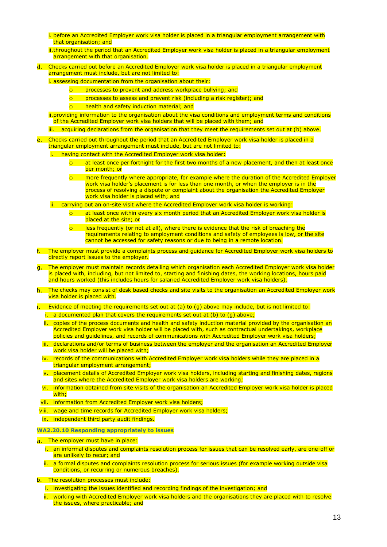- i. before an Accredited Employer work visa holder is placed in a triangular employment arrangement with that organisation; and
- ii.throughout the period that an Accredited Employer work visa holder is placed in a triangular employment arrangement with that organisation.
- Checks carried out before an Accredited Employer work visa holder is placed in a triangular employment arrangement must include, but are not limited to:

i. assessing documentation from the organisation about their:

- o processes to prevent and address workplace bullying; and
- o processes to assess and prevent risk (including a risk register); and
- o health and safety induction material; and

ii.providing information to the organisation about the visa conditions and employment terms and conditions of the Accredited Employer work visa holders that will be placed with them; and

iii. acquiring declarations from the organisation that they meet the requirements set out at (b) above.

- Checks carried out throughout the period that an Accredited Employer work visa holder is placed in a triangular employment arrangement must include, but are not limited to:
	- i. having contact with the Accredited Employer work visa holder:
		- $\circ$  at least once per fortnight for the first two months of a new placement, and then at least once per month; or
		- o more frequently where appropriate, for example where the duration of the Accredited Employer work visa holder's placement is for less than one month, or when the employer is in the process of resolving a dispute or complaint about the organisation the Accredited Employer work visa holder is placed with; and
	- ii. carrying out an on-site visit where the Accredited Employer work visa holder is working:
		- $\circ$  at least once within every six month period that an Accredited Employer work visa holder is placed at the site; or
		- $\circ$  less frequently (or not at all), where there is evidence that the risk of breaching the requirements relating to employment conditions and safety of employees is low, or the site cannot be accessed for safety reasons or due to being in a remote location.
- The employer must provide a complaints process and guidance for Accredited Employer work visa holders to directly report issues to the employer.
- The employer must maintain records detailing which organisation each Accredited Employer work visa holder is placed with, including, but not limited to, starting and finishing dates, the working locations, hours paid and hours worked (this includes hours for salaried Accredited Employer work visa holders).
- The checks may consist of desk based checks and site visits to the organisation an Accredited Employer work visa holder is placed with.

i. Evidence of meeting the requirements set out at  $(a)$  to  $(q)$  above may include, but is not limited to:

- i. a documented plan that covers the requirements set out at (b) to (g) above;
- ii. copies of the process documents and health and safety induction material provided by the organisation an Accredited Employer work visa holder will be placed with, such as contractual undertakings, workplace policies and guidelines, and records of communications with Accredited Employer work visa holders;
- iii. declarations and/or terms of business between the employer and the organisation an Accredited Employer work visa holder will be placed with;
- iv. records of the communications with Accredited Employer work visa holders while they are placed in a triangular employment arrangement;
- v. placement details of Accredited Employer work visa holders, including starting and finishing dates, regions and sites where the Accredited Employer work visa holders are working;
- vi. information obtained from site visits of the organisation an Accredited Employer work visa holder is placed with;
- vii. information from Accredited Employer work visa holders;
- viii. wage and time records for Accredited Employer work visa holders;

ix. independent third party audit findings.

- **WA2.20.10 Responding appropriately to issues**
- a. The employer must have in place:
	- i. an informal disputes and complaints resolution process for issues that can be resolved early, are one-off or are unlikely to recur; and
	- ii. a formal disputes and complaints resolution process for serious issues (for example working outside visa conditions, or recurring or numerous breaches).
- b. The resolution processes must include:
	- i. investigating the issues identified and recording findings of the investigation; and
	- ii. working with Accredited Employer work visa holders and the organisations they are placed with to resolve the issues, where practicable; and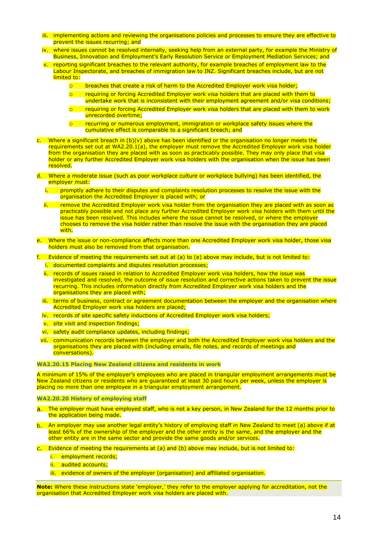- iii. implementing actions and reviewing the organisations policies and processes to ensure they are effective to prevent the issues recurring; and
- iv. where issues cannot be resolved internally, seeking help from an external party, for example the Ministry of Business, Innovation and Employment's Early Resolution Service or Employment Mediation Services; and
- reporting significant breaches to the relevant authority, for example breaches of employment law to the Labour Inspectorate, and breaches of immigration law to INZ. Significant breaches include, but are not limited to:
	- breaches that create a risk of harm to the Accredited Employer work visa holder;
	- o requiring or forcing Accredited Employer work visa holders that are placed with them to undertake work that is inconsistent with their employment agreement and/or visa conditions;
	- requiring or forcing Accredited Employer work visa holders that are placed with them to work unrecorded overtime:
	- recurring or numerous employment, immigration or workplace safety issues where the cumulative effect is comparable to a significant breach; and
- c. Where a significant breach in (b)(v) above has been identified or the organisation no longer meets the requirements set out at WA2.20.1(a), the employer must remove the Accredited Employer work visa holder from the organisation they are placed with as soon as practicably possible. They may only place that visa holder or any further Accredited Employer work visa holders with the organisation when the issue has been resolved.
- d. Where a moderate issue (such as poor workplace culture or workplace bullying) has been identified, the employer must:
	- promptly adhere to their disputes and complaints resolution processes to resolve the issue with the organisation the Accredited Employer is placed with; or
	- ii. Fremove the Accredited Employer work visa holder from the organisation they are placed with as soon as practicably possible and not place any further Accredited Employer work visa holders with them until the issue has been resolved. This includes where the issue cannot be resolved, or where the employer chooses to remove the visa holder rather than resolve the issue with the organisation they are placed with.
- Where the issue or non-compliance affects more than one Accredited Employer work visa holder, those visa holders must also be removed from that organisation.

f. Evidence of meeting the requirements set out at  $(a)$  to  $(e)$  above may include, but is not limited to:

- i. documented complaints and disputes resolution processes;
- ii. records of issues raised in relation to Accredited Employer work visa holders, how the issue was investigated and resolved, the outcome of issue resolution and corrective actions taken to prevent the issue recurring. This includes information directly from Accredited Employer work visa holders and the organisations they are placed with;
- iii. terms of business, contract or agreement documentation between the employer and the organisation where **Accredited Employer work visa holders are placed:**
- iv. records of site specific safety inductions of Accredited Employer work visa holders;
- v. site visit and inspection findings;
- vi. safety audit compliance updates, including findings;
- vii. communication records between the employer and both the Accredited Employer work visa holders and the organisations they are placed with (including emails, file notes, and records of meetings and conversations).

#### **WA2.20.15 Placing New Zealand citizens and residents in work**

A minimum of 15% of the employer's employees who are placed in triangular employment arrangements must be New Zealand citizens or residents who are guaranteed at least 30 paid hours per week, unless the employer is placing no more than one employee in a triangular employment arrangement.

#### **WA2.20.20 History of employing staff**

- a. The employer must have employed staff, who is not a key person, in New Zealand for the 12 months prior to the application being made.
- An employer may use another legal entity's history of employing staff in New Zealand to meet (a) above if at h. least 66% of the ownership of the employer and the other entity is the same, and the employer and the other entity are in the same sector and provide the same goods and/or services.
- c. Evidence of meeting the requirements at (a) and (b) above may include, but is not limited to:
	- i. employment records:
	- ii. audited accounts:
	- iii. evidence of owners of the employer (organisation) and affiliated organisation.

**Note:** Where these instructions state 'employer,' they refer to the employer applying for accreditation, not the organisation that Accredited Employer work visa holders are placed with.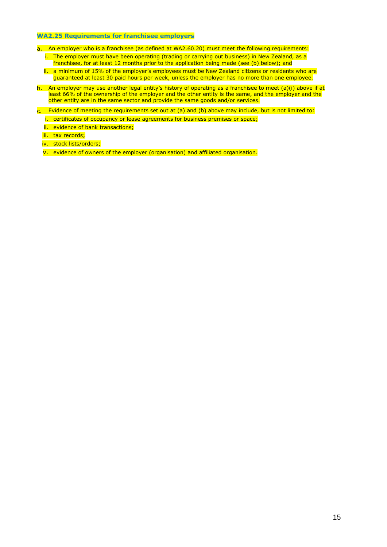# **WA2.25 Requirements for franchisee employers**

- a. An employer who is a franchisee (as defined at WA2.60.20) must meet the following requirements:
	- i. The employer must have been operating (trading or carrying out business) in New Zealand, as a franchisee, for at least 12 months prior to the application being made (see (b) below); and
	- ii. a minimum of 15% of the employer's employees must be New Zealand citizens or residents who are guaranteed at least 30 paid hours per week, unless the employer has no more than one employee.
- b. An employer may use another legal entity's history of operating as a franchisee to meet (a)(i) above if at least 66% of the ownership of the employer and the other entity is the same, and the employer and the other entity are in the same sector and provide the same goods and/or services.
- c. Evidence of meeting the requirements set out at (a) and (b) above may include, but is not limited to: i. certificates of occupancy or lease agreements for business premises or space;
	- ii. evidence of bank transactions;
	- iii. tax records;
	- iv. stock lists/orders;
	- v. evidence of owners of the employer (organisation) and affiliated organisation.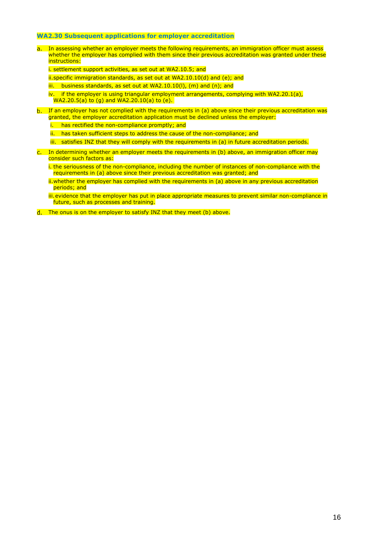### **WA2.30 Subsequent applications for employer accreditation**

In assessing whether an employer meets the following requirements, an immigration officer must assess  $a_{-}$ whether the employer has complied with them since their previous accreditation was granted under these instructions:

i. settlement support activities, as set out at WA2.10.5; and

ii.specific immigration standards, as set out at WA2.10.10(d) and (e); and

iii. business standards, as set out at WA2.10.10(I), (m) and (n); and

iv. if the employer is using triangular employment arrangements, complying with WA2.20.1(a),  $WA2.20.5(a)$  to (g) and  $WA2.20.10(a)$  to (e).

- b. If an employer has not complied with the requirements in (a) above since their previous accreditation was granted, the employer accreditation application must be declined unless the employer:
	- i. has rectified the non-compliance promptly; and

ii. has taken sufficient steps to address the cause of the non-compliance; and

- iii. satisfies INZ that they will comply with the requirements in (a) in future accreditation periods.
- c. In determining whether an employer meets the requirements in (b) above, an immigration officer may consider such factors as:

i. the seriousness of the non-compliance, including the number of instances of non-compliance with the requirements in (a) above since their previous accreditation was granted; and

ii.whether the employer has complied with the requirements in (a) above in any previous accreditation periods; and

iii.evidence that the employer has put in place appropriate measures to prevent similar non-compliance in future, such as processes and training.

The onus is on the employer to satisfy INZ that they meet (b) above.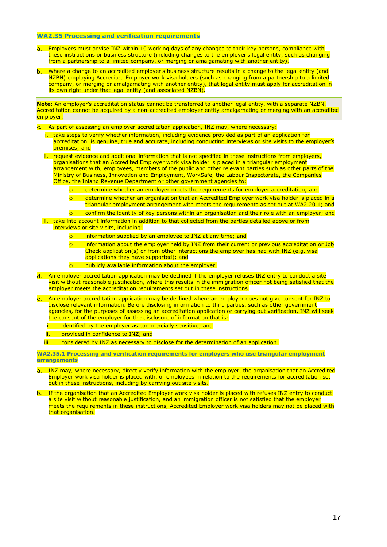### **WA2.35 Processing and verification requirements**

- Employers must advise INZ within 10 working days of any changes to their key persons, compliance with  $a_{-}$ these instructions or business structure (including changes to the employer's legal entity, such as changing from a partnership to a limited company, or merging or amalgamating with another entity).
- Where a change to an accredited employer's business structure results in a change to the legal entity (and  $h$ NZBN) employing Accredited Employer work visa holders (such as changing from a partnership to a limited company, or merging or amalgamating with another entity), that legal entity must apply for accreditation in its own right under that legal entity (and associated NZBN).

**Note:** An employer's accreditation status cannot be transferred to another legal entity, with a separate NZBN. Accreditation cannot be acquired by a non-accredited employer entity amalgamating or merging with an accredited employer.

- As part of assessing an employer accreditation application, INZ may, where necessary:
	- i. take steps to verify whether information, including evidence provided as part of an application for accreditation, is genuine, true and accurate, including conducting interviews or site visits to the employer's premises; and
	- ii. request evidence and additional information that is not specified in these instructions from employers, organisations that an Accredited Employer work visa holder is placed in a triangular employment arrangement with, employees, members of the public and other relevant parties such as other parts of the Ministry of Business, Innovation and Employment, WorkSafe, the Labour Inspectorate, the Companies Office, the Inland Revenue Department or other government agencies to:
		- o determine whether an employer meets the requirements for employer accreditation; and
		- o determine whether an organisation that an Accredited Employer work visa holder is placed in a triangular employment arrangement with meets the requirements as set out at WA2.20.1; and
		- o confirm the identity of key persons within an organisation and their role with an employer; and
	- iii. take into account information in addition to that collected from the parties detailed above or from interviews or site visits, including:
		- $\circ$  information supplied by an employee to INZ at any time; and
		- o information about the employer held by INZ from their current or previous accreditation or Job Check application(s) or from other interactions the employer has had with INZ (e.g. visa applications they have supported); and
		- o publicly available information about the employer.
- An employer accreditation application may be declined if the employer refuses INZ entry to conduct a site visit without reasonable justification, where this results in the immigration officer not being satisfied that the employer meets the accreditation requirements set out in these instructions.
- An employer accreditation application may be declined where an employer does not give consent for INZ to e. disclose relevant information. Before disclosing information to third parties, such as other government agencies, for the purposes of assessing an accreditation application or carrying out verification, INZ will seek the consent of the employer for the disclosure of information that is:
	- i. identified by the employer as commercially sensitive; and
	- ii. provided in confidence to INZ; and
	- iii. considered by INZ as necessary to disclose for the determination of an application.

**WA2.35.1 Processing and verification requirements for employers who use triangular employment arrangements**

- a. INZ may, where necessary, directly verify information with the employer, the organisation that an Accredited Employer work visa holder is placed with, or employees in relation to the requirements for accreditation set out in these instructions, including by carrying out site visits.
- b. If the organisation that an Accredited Employer work visa holder is placed with refuses INZ entry to conduct a site visit without reasonable justification, and an immigration officer is not satisfied that the employer meets the requirements in these instructions, Accredited Employer work visa holders may not be placed with that organisation.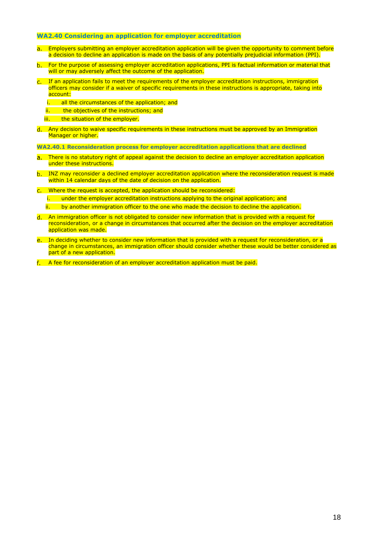### **WA2.40 Considering an application for employer accreditation**

- a. Employers submitting an employer accreditation application will be given the opportunity to comment before a decision to decline an application is made on the basis of any potentially prejudicial information (PPI).
- For the purpose of assessing employer accreditation applications, PPI is factual information or material that will or may adversely affect the outcome of the application.
- c. If an application fails to meet the requirements of the employer accreditation instructions, immigration officers may consider if a waiver of specific requirements in these instructions is appropriate, taking into account<sup>.</sup>
	- i. all the circumstances of the application; and
	- ii. the objectives of the instructions: and
	- iii. the situation of the employer.
- Any decision to waive specific requirements in these instructions must be approved by an Immigration Manager or higher.

**WA2.40.1 Reconsideration process for employer accreditation applications that are declined**

- a. There is no statutory right of appeal against the decision to decline an employer accreditation application under these instructions.
- b. INZ may reconsider a declined employer accreditation application where the reconsideration request is made within 14 calendar days of the date of decision on the application.
- Where the request is accepted, the application should be reconsidered:
	- i. under the employer accreditation instructions applying to the original application; and
	- ii. by another immigration officer to the one who made the decision to decline the application.
- An immigration officer is not obligated to consider new information that is provided with a request for reconsideration, or a change in circumstances that occurred after the decision on the employer accreditation application was made.
- e. In deciding whether to consider new information that is provided with a request for reconsideration, or a change in circumstances, an immigration officer should consider whether these would be better considered as part of a new application.
- A fee for reconsideration of an employer accreditation application must be paid.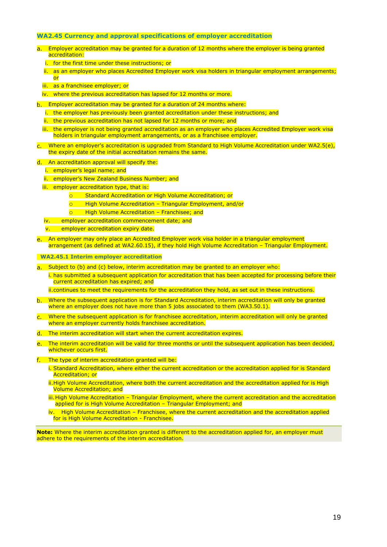# **WA2.45 Currency and approval specifications of employer accreditation**

- a. Employer accreditation may be granted for a duration of 12 months where the employer is being granted accreditation:
	- i. for the first time under these instructions; or
	- ii. as an employer who places Accredited Employer work visa holders in triangular employment arrangements; or
	- iii. as a franchisee employer; or
	- iv. where the previous accreditation has lapsed for 12 months or more.
- b. Employer accreditation may be granted for a duration of 24 months where:
	- i. the employer has previously been granted accreditation under these instructions; and
	- ii. the previous accreditation has not lapsed for 12 months or more; and
	- iii. the employer is not being granted accreditation as an employer who places Accredited Employer work visa holders in triangular employment arrangements, or as a franchisee employer.
- Where an employer's accreditation is upgraded from Standard to High Volume Accreditation under WA2.5(e). the expiry date of the initial accreditation remains the same.
- d. An accreditation approval will specify the:
	- i. employer's legal name; and
	- ii. employer's New Zealand Business Number; and
	- iii. employer accreditation type, that is:
		- o Standard Accreditation or High Volume Accreditation; or
		- o High Volume Accreditation Triangular Employment, and/or
		- o High Volume Accreditation Franchisee; and
	- iv. employer accreditation commencement date; and
	- v. employer accreditation expiry date.
- An employer may only place an Accredited Employer work visa holder in a triangular employment arrangement (as defined at WA2.60.15), if they hold High Volume Accreditation – Triangular Employment.

 **WA2.45.1 Interim employer accreditation**

- a. Subject to (b) and (c) below, interim accreditation may be granted to an employer who:
	- i. has submitted a subsequent application for accreditation that has been accepted for processing before their current accreditation has expired; and

ii.continues to meet the requirements for the accreditation they hold, as set out in these instructions.

- b. Where the subsequent application is for Standard Accreditation, interim accreditation will only be granted where an employer does not have more than 5 jobs associated to them (WA3.50.1).
- Where the subsequent application is for franchisee accreditation, interim accreditation will only be granted where an employer currently holds franchisee accreditation.
- The interim accreditation will start when the current accreditation expires.
- The interim accreditation will be valid for three months or until the subsequent application has been decided, whichever occurs first.
- f. The type of interim accreditation granted will be:
	- i. Standard Accreditation, where either the current accreditation or the accreditation applied for is Standard Accreditation; or
	- ii. High Volume Accreditation, where both the current accreditation and the accreditation applied for is High Volume Accreditation; and
	- iii. High Volume Accreditation Triangular Employment, where the current accreditation and the accreditation applied for is High Volume Accreditation – Triangular Employment; and
	- iv. High Volume Accreditation Franchisee, where the current accreditation and the accreditation applied for is High Volume Accreditation - Franchisee.

**Note:** Where the interim accreditation granted is different to the accreditation applied for, an employer must adhere to the requirements of the interim accreditation.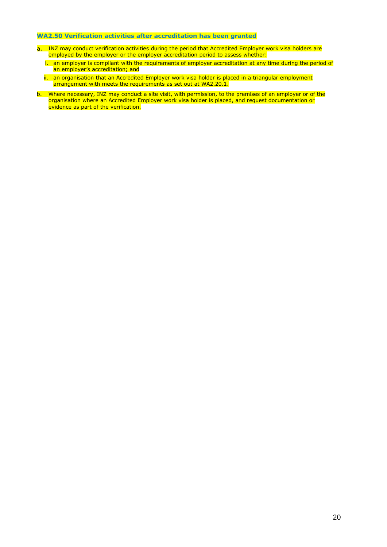# **WA2.50 Verification activities after accreditation has been granted**

- INZ may conduct verification activities during the period that Accredited Employer work visa holders are employed by the employer or the employer accreditation period to assess whether:
	- i. an employer is compliant with the requirements of employer accreditation at any time during the period of an employer's accreditation; and
	- ii. an organisation that an Accredited Employer work visa holder is placed in a triangular employment arrangement with meets the requirements as set out at WA2.20.1.
- b. Where necessary, INZ may conduct a site visit, with permission, to the premises of an employer or of the organisation where an Accredited Employer work visa holder is placed, and request documentation or evidence as part of the verification.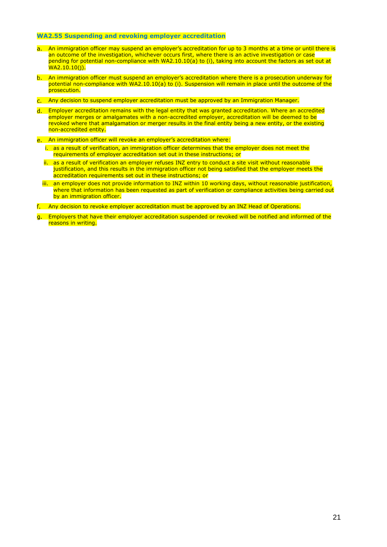# **WA2.55 Suspending and revoking employer accreditation**

- a. An immigration officer may suspend an employer's accreditation for up to 3 months at a time or until there is an outcome of the investigation, whichever occurs first, where there is an active investigation or case pending for potential non-compliance with WA2.10.10(a) to (i), taking into account the factors as set out at WA2.10.10(j).
- b. An immigration officer must suspend an employer's accreditation where there is a prosecution underway for potential non-compliance with WA2.10.10(a) to (i). Suspension will remain in place until the outcome of the prosecution.
- Any decision to suspend employer accreditation must be approved by an Immigration Manager.
- Employer accreditation remains with the legal entity that was granted accreditation. Where an accredited employer merges or amalgamates with a non-accredited employer, accreditation will be deemed to be revoked where that amalgamation or merger results in the final entity being a new entity, or the existing non-accredited entity.
- e. An immigration officer will revoke an employer's accreditation where:
	- i. as a result of verification, an immigration officer determines that the employer does not meet the requirements of employer accreditation set out in these instructions; or
	- ii. as a result of verification an employer refuses INZ entry to conduct a site visit without reasonable justification, and this results in the immigration officer not being satisfied that the employer meets the accreditation requirements set out in these instructions; or
	- iii. an employer does not provide information to INZ within 10 working days, without reasonable justification, where that information has been requested as part of verification or compliance activities being carried out by an immigration officer.
- Any decision to revoke employer accreditation must be approved by an INZ Head of Operations.
- Employers that have their employer accreditation suspended or revoked will be notified and informed of the reasons in writing.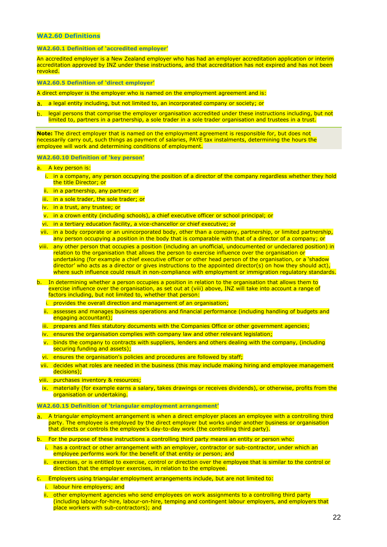# **WA2.60 Definitions**

### **WA2.60.1 Definition of 'accredited employer'**

An accredited employer is a New Zealand employer who has had an employer accreditation application or interim accreditation approved by INZ under these instructions, and that accreditation has not expired and has not been revoked.

#### **WA2.60.5 Definition of 'direct employer'**

A direct employer is the employer who is named on the employment agreement and is:

- a. a legal entity including, but not limited to, an incorporated company or society; or
- legal persons that comprise the employer organisation accredited under these instructions including, but not limited to, partners in a partnership, a sole trader in a sole trader organisation and trustees in a trust.

**Note:** The direct employer that is named on the employment agreement is responsible for, but does not necessarily carry out, such things as payment of salaries, PAYE tax instalments, determining the hours the employee will work and determining conditions of employment.

### **WA2.60.10 Definition of 'key person'**

- a. A key person is:
	- i. in a company, any person occupying the position of a director of the company regardless whether they hold the title Director; or
	- ii. in a partnership, any partner; or
	- iii. in a sole trader, the sole trader; or
	- iv. in a trust, any trustee; or
	- v. in a crown entity (including schools), a chief executive officer or school principal; or
	- vi. in a tertiary education facility, a vice-chancellor or chief executive; or
	- vii. in a body corporate or an unincorporated body, other than a company, partnership, or limited partnership, any person occupying a position in the body that is comparable with that of a director of a company; or
- viii. any other person that occupies a position (including an unofficial, undocumented or undeclared position) in relation to the organisation that allows the person to exercise influence over the organisation or undertaking (for example a chief executive officer or other head person of the organisation, or a 'shadow director' who acts as a director or gives instructions to the appointed director(s) on how they should act). where such influence could result in non-compliance with employment or immigration regulatory standards.
- b. In determining whether a person occupies a position in relation to the organisation that allows them to exercise influence over the organisation, as set out at (viii) above, INZ will take into account a range of factors including, but not limited to, whether that person:
	- i. provides the overall direction and management of an organisation;
	- ii. assesses and manages business operations and financial performance (including handling of budgets and engaging accountant);
	- iii. prepares and files statutory documents with the Companies Office or other government agencies;
	- iv. ensures the organisation complies with company law and other relevant legislation;
	- v. binds the company to contracts with suppliers, lenders and others dealing with the company, (including securing funding and assets);
	- vi. ensures the organisation's policies and procedures are followed by staff;
	- vii. decides what roles are needed in the business (this may include making hiring and employee management decisions);
- viii. purchases inventory & resources;
- ix. materially (for example earns a salary, takes drawings or receives dividends), or otherwise, profits from the organisation or undertaking.

#### **WA2.60.15 Definition of 'triangular employment arrangement'**

- A triangular employment arrangement is when a direct employer places an employee with a controlling third  $a.$ party. The employee is employed by the direct employer but works under another business or organisation that directs or controls the employee's day-to-day work (the controlling third party).
- b. For the purpose of these instructions a controlling third party means an entity or person who:
	- i. has a contract or other arrangement with an employer, contractor or sub-contractor, under which an employee performs work for the benefit of that entity or person; and
	- ii. exercises, or is entitled to exercise, control or direction over the employee that is similar to the control or direction that the employer exercises, in relation to the employee.
- c. Employers using triangular employment arrangements include, but are not limited to:
	- i. labour hire employers; and
	- ii. other employment agencies who send employees on work assignments to a controlling third party (including labour-for-hire, labour-on-hire, temping and contingent labour employers, and employers that place workers with sub-contractors); and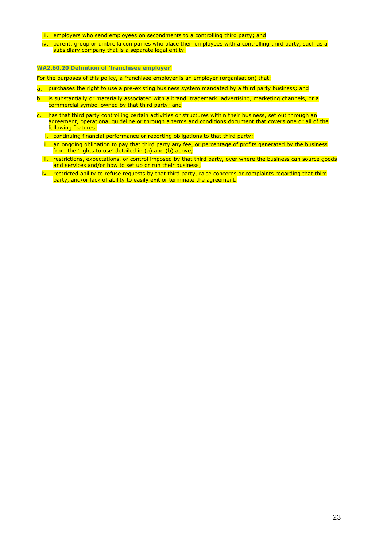- iii. employers who send employees on secondments to a controlling third party; and
- iv. parent, group or umbrella companies who place their employees with a controlling third party, such as a subsidiary company that is a separate legal entity.

# **WA2.60.20 Definition of 'franchisee employer'**

For the purposes of this policy, a franchisee employer is an employer (organisation) that:

- a. purchases the right to use a pre-existing business system mandated by a third party business; and
- b. is substantially or materially associated with a brand, trademark, advertising, marketing channels, or a commercial symbol owned by that third party; and
- c. has that third party controlling certain activities or structures within their business, set out through an agreement, operational guideline or through a terms and conditions document that covers one or all of the following features:
	- i. continuing financial performance or reporting obligations to that third party;
	- ii. an ongoing obligation to pay that third party any fee, or percentage of profits generated by the business from the 'rights to use' detailed in (a) and (b) above;
	- iii. restrictions, expectations, or control imposed by that third party, over where the business can source goods and services and/or how to set up or run their business;
	- iv. restricted ability to refuse requests by that third party, raise concerns or complaints regarding that third party, and/or lack of ability to easily exit or terminate the agreement.